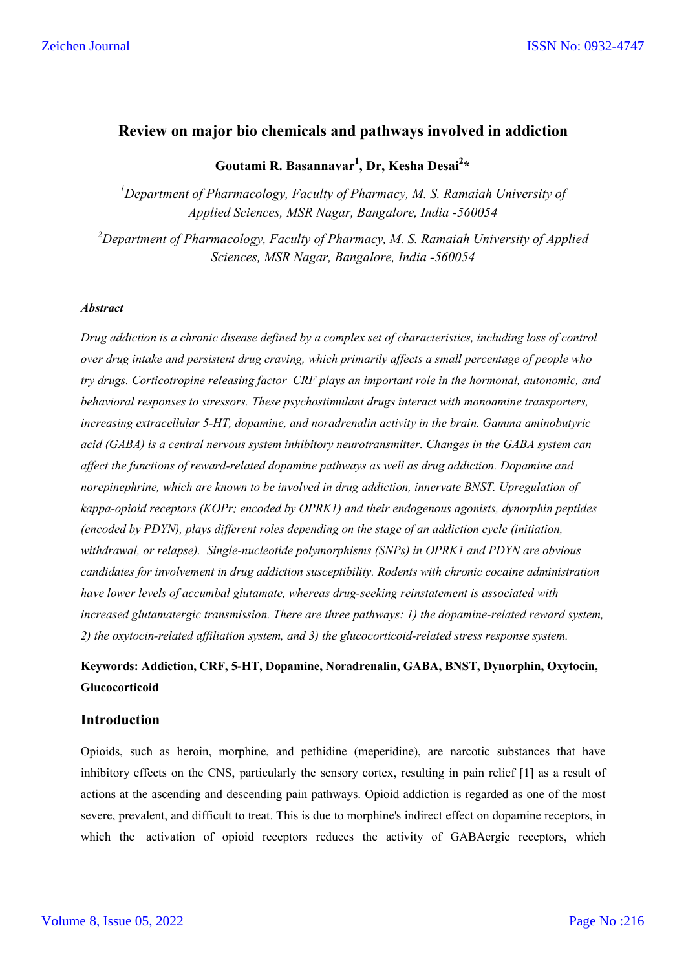## **Review on major bio chemicals and pathways involved in addiction**

# **Goutami R. Basannavar1 , Dr, Kesha Desai2 \***

*1 Department of Pharmacology, Faculty of Pharmacy, M. S. Ramaiah University of Applied Sciences, MSR Nagar, Bangalore, India -560054*

*2 Department of Pharmacology, Faculty of Pharmacy, M. S. Ramaiah University of Applied Sciences, MSR Nagar, Bangalore, India -560054*

#### *Abstract*

*Drug addiction is a chronic disease defined by a complex set of characteristics, including loss of control over drug intake and persistent drug craving, which primarily affects a small percentage of people who try drugs. Corticotropine releasing factor CRF plays an important role in the hormonal, autonomic, and behavioral responses to stressors. These psychostimulant drugs interact with monoamine transporters, increasing extracellular 5-HT, dopamine, and noradrenalin activity in the brain. Gamma aminobutyric acid (GABA) is a central nervous system inhibitory neurotransmitter. Changes in the GABA system can affect the functions of reward-related dopamine pathways as well as drug addiction. Dopamine and norepinephrine, which are known to be involved in drug addiction, innervate BNST. Upregulation of kappa-opioid receptors (KOPr; encoded by OPRK1) and their endogenous agonists, dynorphin peptides (encoded by PDYN), plays different roles depending on the stage of an addiction cycle (initiation, withdrawal, or relapse). Single-nucleotide polymorphisms (SNPs) in OPRK1 and PDYN are obvious candidates for involvement in drug addiction susceptibility. Rodents with chronic cocaine administration have lower levels of accumbal glutamate, whereas drug-seeking reinstatement is associated with increased glutamatergic transmission. There are three pathways: 1) the dopamine-related reward system, 2) the oxytocin-related affiliation system, and 3) the glucocorticoid-related stress response system.*

# **Keywords: Addiction, CRF, 5-HT, Dopamine, Noradrenalin, GABA, BNST, Dynorphin, Oxytocin, Glucocorticoid**

#### **Introduction**

Opioids, such as heroin, morphine, and pethidine (meperidine), are narcotic substances that have inhibitory effects on the CNS, particularly the sensory cortex, resulting in pain relief [1] as a result of actions at the ascending and descending pain pathways. Opioid addiction is regarded as one of the most severe, prevalent, and difficult to treat. This is due to morphine's indirect effect on dopamine receptors, in which the activation of opioid receptors reduces the activity of GABAergic receptors, which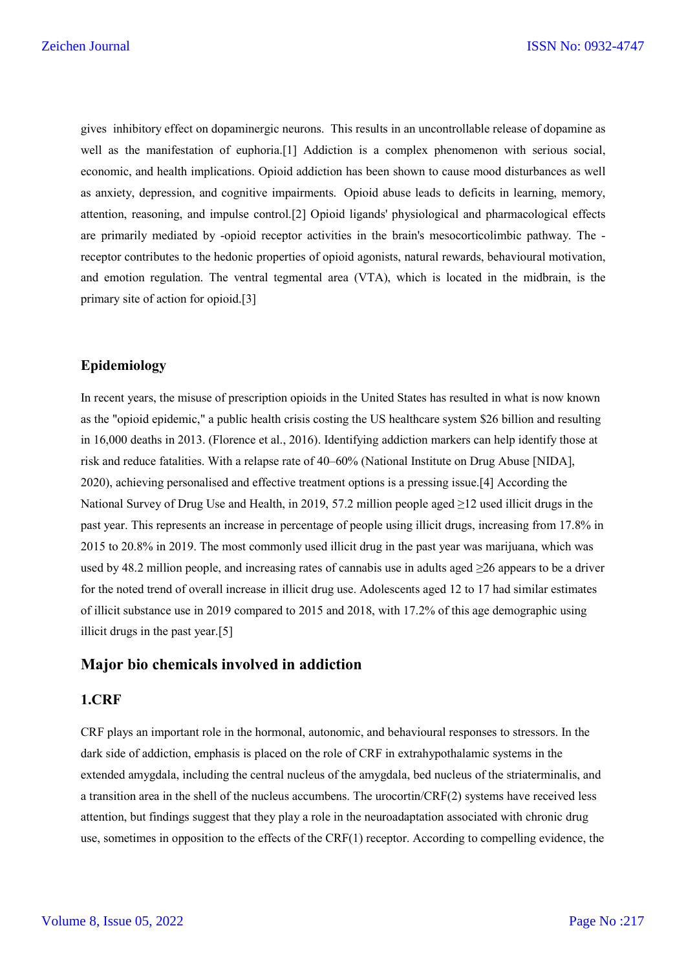gives inhibitory effect on dopaminergic neurons. This results in an uncontrollable release of dopamine as well as the manifestation of euphoria.[1] Addiction is a complex phenomenon with serious social, economic, and health implications. Opioid addiction has been shown to cause mood disturbances as well as anxiety, depression, and cognitive impairments. Opioid abuse leads to deficits in learning, memory, attention, reasoning, and impulse control.[2] Opioid ligands' physiological and pharmacological effects are primarily mediated by -opioid receptor activities in the brain's mesocorticolimbic pathway. The receptor contributes to the hedonic properties of opioid agonists, natural rewards, behavioural motivation, and emotion regulation. The ventral tegmental area (VTA), which is located in the midbrain, is the primary site of action for opioid.[3]

### **Epidemiology**

In recent years, the misuse of prescription opioids in the United States has resulted in what is now known as the "opioid epidemic," a public health crisis costing the US healthcare system \$26 billion and resulting in 16,000 deaths in 2013. (Florence et al., 2016). Identifying addiction markers can help identify those at risk and reduce fatalities. With a relapse rate of 40–60% (National Institute on Drug Abuse [NIDA], 2020), achieving personalised and effective treatment options is a pressing issue.[4] According the National Survey of Drug Use and Health, in 2019, 57.2 million people aged ≥12 used illicit drugs in the past year. This represents an increase in percentage of people using illicit drugs, increasing from 17.8% in 2015 to 20.8% in 2019. The most commonly used illicit drug in the past year was marijuana, which was used by 48.2 million people, and increasing rates of cannabis use in adults aged ≥26 appears to be a driver for the noted trend of overall increase in illicit drug use. Adolescents aged 12 to 17 had similar estimates of illicit substance use in 2019 compared to 2015 and 2018, with 17.2% of this age demographic using illicit drugs in the past year.[5]

### **Major bio chemicals involved in addiction**

### **1.CRF**

CRF plays an important role in the hormonal, autonomic, and behavioural responses to stressors. In the dark side of addiction, emphasis is placed on the role of CRF in extrahypothalamic systems in the extended amygdala, including the central nucleus of the amygdala, bed nucleus of the striaterminalis, and a transition area in the shell of the nucleus accumbens. The urocortin/CRF(2) systems have received less attention, but findings suggest that they play a role in the neuroadaptation associated with chronic drug use, sometimes in opposition to the effects of the CRF(1) receptor. According to compelling evidence, the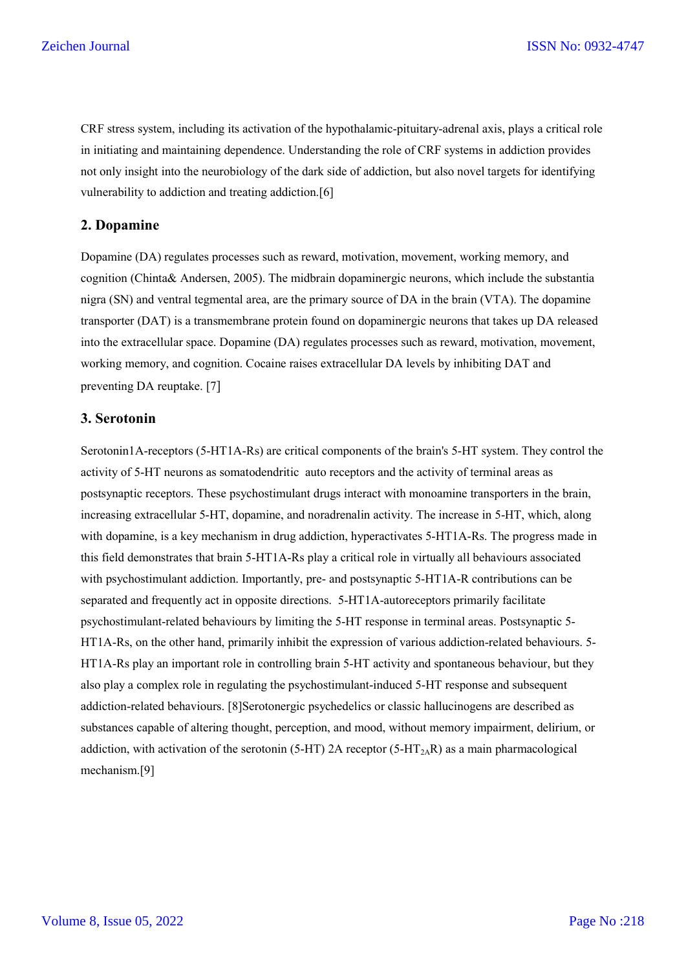CRF stress system, including its activation of the hypothalamic-pituitary-adrenal axis, plays a critical role in initiating and maintaining dependence. Understanding the role of CRF systems in addiction provides not only insight into the neurobiology of the dark side of addiction, but also novel targets for identifying vulnerability to addiction and treating addiction.[6]

#### **2. Dopamine**

Dopamine (DA) regulates processes such as reward, motivation, movement, working memory, and cognition (Chinta& Andersen, 2005). The midbrain dopaminergic neurons, which include the substantia nigra (SN) and ventral tegmental area, are the primary source of DA in the brain (VTA). The dopamine transporter (DAT) is a transmembrane protein found on dopaminergic neurons that takes up DA released into the extracellular space. Dopamine (DA) regulates processes such as reward, motivation, movement, working memory, and cognition. Cocaine raises extracellular DA levels by inhibiting DAT and preventing DA reuptake. [7]

#### **3. Serotonin**

Serotonin1A-receptors (5-HT1A-Rs) are critical components of the brain's 5-HT system. They control the activity of 5-HT neurons as somatodendritic auto receptors and the activity of terminal areas as postsynaptic receptors. These psychostimulant drugs interact with monoamine transporters in the brain, increasing extracellular 5-HT, dopamine, and noradrenalin activity. The increase in 5-HT, which, along with dopamine, is a key mechanism in drug addiction, hyperactivates 5-HT1A-Rs. The progress made in this field demonstrates that brain 5-HT1A-Rs play a critical role in virtually all behaviours associated with psychostimulant addiction. Importantly, pre- and postsynaptic 5-HT1A-R contributions can be separated and frequently act in opposite directions. 5-HT1A-autoreceptors primarily facilitate psychostimulant-related behaviours by limiting the 5-HT response in terminal areas. Postsynaptic 5- HT1A-Rs, on the other hand, primarily inhibit the expression of various addiction-related behaviours. 5- HT1A-Rs play an important role in controlling brain 5-HT activity and spontaneous behaviour, but they also play a complex role in regulating the psychostimulant-induced 5-HT response and subsequent addiction-related behaviours. [8]Serotonergic psychedelics or classic hallucinogens are described as substances capable of altering thought, perception, and mood, without memory impairment, delirium, or addiction, with activation of the serotonin (5-HT) 2A receptor (5-HT<sub>2A</sub>R) as a main pharmacological mechanism.[9]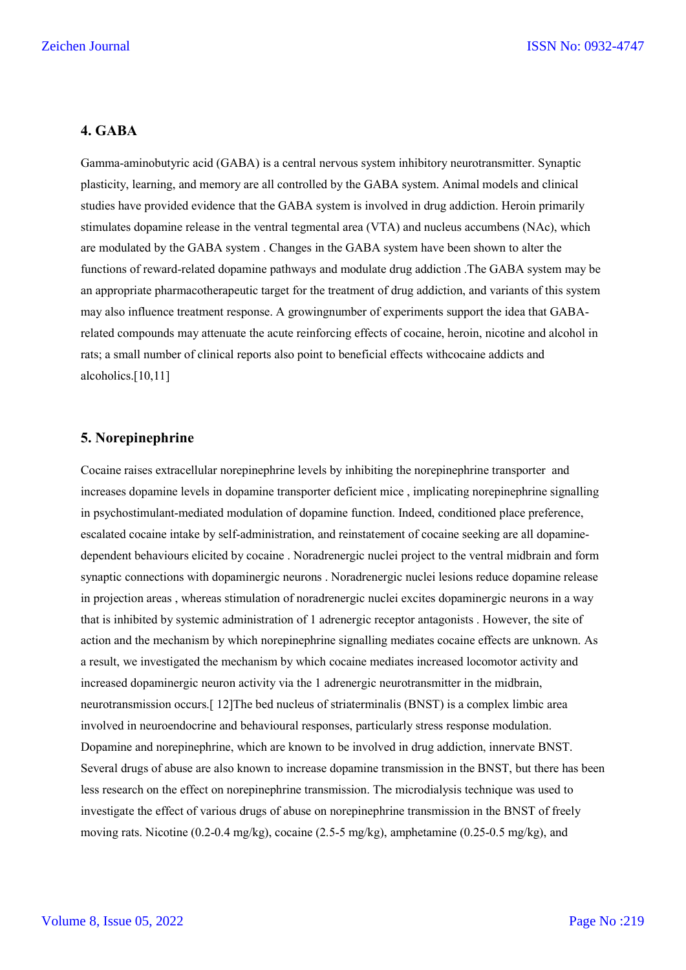### **4. GABA**

Gamma-aminobutyric acid (GABA) is a central nervous system inhibitory neurotransmitter. Synaptic plasticity, learning, and memory are all controlled by the GABA system. Animal models and clinical studies have provided evidence that the GABA system is involved in drug addiction. Heroin primarily stimulates dopamine release in the ventral tegmental area (VTA) and nucleus accumbens (NAc), which are modulated by the GABA system . Changes in the GABA system have been shown to alter the functions of reward-related dopamine pathways and modulate drug addiction .The GABA system may be an appropriate pharmacotherapeutic target for the treatment of drug addiction, and variants of this system may also influence treatment response. A growingnumber of experiments support the idea that GABArelated compounds may attenuate the acute reinforcing effects of cocaine, heroin, nicotine and alcohol in rats; a small number of clinical reports also point to beneficial effects withcocaine addicts and alcoholics.[10,11]

### **5. Norepinephrine**

Cocaine raises extracellular norepinephrine levels by inhibiting the norepinephrine transporter and increases dopamine levels in dopamine transporter deficient mice , implicating norepinephrine signalling in psychostimulant-mediated modulation of dopamine function. Indeed, conditioned place preference, escalated cocaine intake by self-administration, and reinstatement of cocaine seeking are all dopaminedependent behaviours elicited by cocaine . Noradrenergic nuclei project to the ventral midbrain and form synaptic connections with dopaminergic neurons . Noradrenergic nuclei lesions reduce dopamine release in projection areas , whereas stimulation of noradrenergic nuclei excites dopaminergic neurons in a way that is inhibited by systemic administration of 1 adrenergic receptor antagonists . However, the site of action and the mechanism by which norepinephrine signalling mediates cocaine effects are unknown. As a result, we investigated the mechanism by which cocaine mediates increased locomotor activity and increased dopaminergic neuron activity via the 1 adrenergic neurotransmitter in the midbrain, neurotransmission occurs.[ 12]The bed nucleus of striaterminalis (BNST) is a complex limbic area involved in neuroendocrine and behavioural responses, particularly stress response modulation. Dopamine and norepinephrine, which are known to be involved in drug addiction, innervate BNST. Several drugs of abuse are also known to increase dopamine transmission in the BNST, but there has been less research on the effect on norepinephrine transmission. The microdialysis technique was used to investigate the effect of various drugs of abuse on norepinephrine transmission in the BNST of freely moving rats. Nicotine (0.2-0.4 mg/kg), cocaine (2.5-5 mg/kg), amphetamine (0.25-0.5 mg/kg), and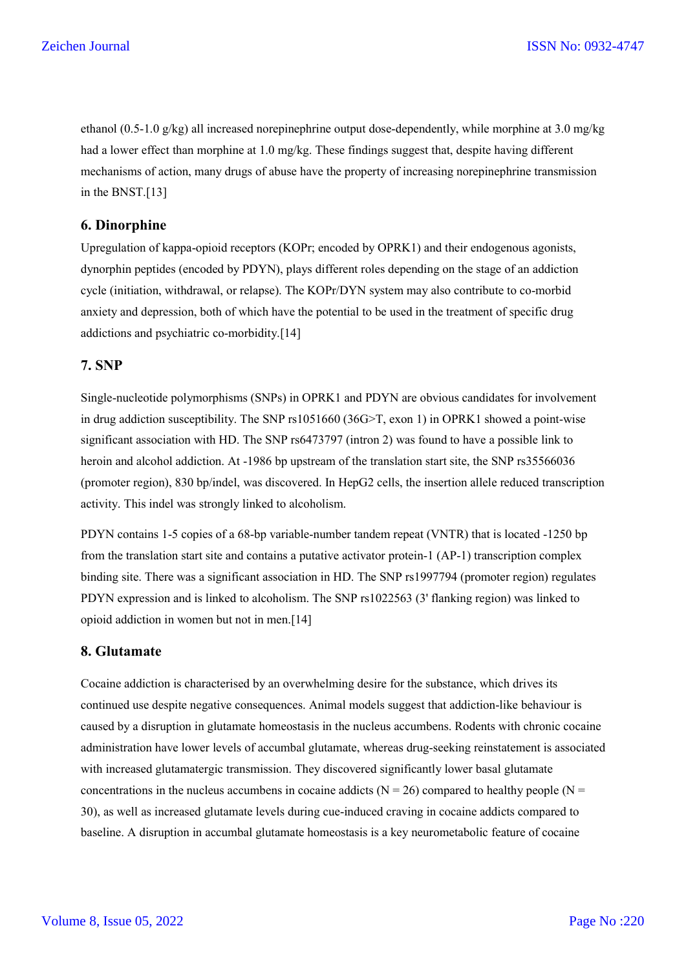ethanol (0.5-1.0 g/kg) all increased norepinephrine output dose-dependently, while morphine at 3.0 mg/kg had a lower effect than morphine at 1.0 mg/kg. These findings suggest that, despite having different mechanisms of action, many drugs of abuse have the property of increasing norepinephrine transmission in the BNST.[13]

### **6. Dinorphine**

Upregulation of kappa-opioid receptors (KOPr; encoded by OPRK1) and their endogenous agonists, dynorphin peptides (encoded by PDYN), plays different roles depending on the stage of an addiction cycle (initiation, withdrawal, or relapse). The KOPr/DYN system may also contribute to co-morbid anxiety and depression, both of which have the potential to be used in the treatment of specific drug addictions and psychiatric co-morbidity.[14]

## **7. SNP**

Single-nucleotide polymorphisms (SNPs) in OPRK1 and PDYN are obvious candidates for involvement in drug addiction susceptibility. The SNP rs1051660 (36G>T, exon 1) in OPRK1 showed a point-wise significant association with HD. The SNP rs6473797 (intron 2) was found to have a possible link to heroin and alcohol addiction. At -1986 bp upstream of the translation start site, the SNP rs35566036 (promoter region), 830 bp/indel, was discovered. In HepG2 cells, the insertion allele reduced transcription activity. This indel was strongly linked to alcoholism.

PDYN contains 1-5 copies of a 68-bp variable-number tandem repeat (VNTR) that is located -1250 bp from the translation start site and contains a putative activator protein-1 (AP-1) transcription complex binding site. There was a significant association in HD. The SNP rs1997794 (promoter region) regulates PDYN expression and is linked to alcoholism. The SNP rs1022563 (3' flanking region) was linked to opioid addiction in women but not in men.[14]

# **8. Glutamate**

Cocaine addiction is characterised by an overwhelming desire for the substance, which drives its continued use despite negative consequences. Animal models suggest that addiction-like behaviour is caused by a disruption in glutamate homeostasis in the nucleus accumbens. Rodents with chronic cocaine administration have lower levels of accumbal glutamate, whereas drug-seeking reinstatement is associated with increased glutamatergic transmission. They discovered significantly lower basal glutamate concentrations in the nucleus accumbens in cocaine addicts ( $N = 26$ ) compared to healthy people ( $N =$ 30), as well as increased glutamate levels during cue-induced craving in cocaine addicts compared to baseline. A disruption in accumbal glutamate homeostasis is a key neurometabolic feature of cocaine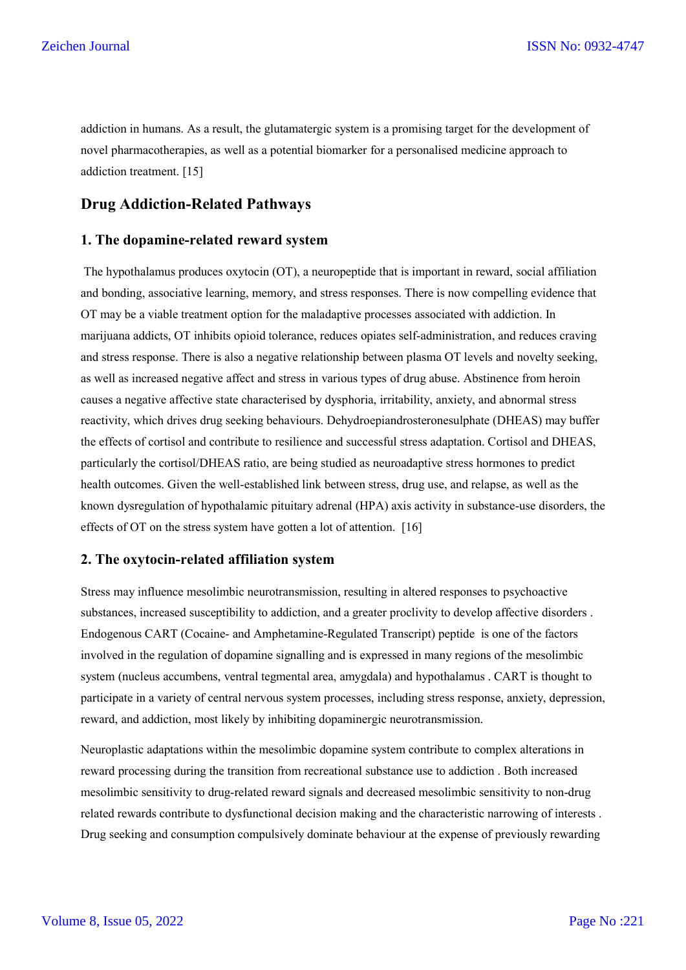addiction in humans. As a result, the glutamatergic system is a promising target for the development of novel pharmacotherapies, as well as a potential biomarker for a personalised medicine approach to addiction treatment. [15]

## **Drug Addiction-Related Pathways**

#### **1. The dopamine-related reward system**

The hypothalamus produces oxytocin (OT), a neuropeptide that is important in reward, social affiliation and bonding, associative learning, memory, and stress responses. There is now compelling evidence that OT may be a viable treatment option for the maladaptive processes associated with addiction. In marijuana addicts, OT inhibits opioid tolerance, reduces opiates self-administration, and reduces craving and stress response. There is also a negative relationship between plasma OT levels and novelty seeking, as well as increased negative affect and stress in various types of drug abuse. Abstinence from heroin causes a negative affective state characterised by dysphoria, irritability, anxiety, and abnormal stress reactivity, which drives drug seeking behaviours. Dehydroepiandrosteronesulphate (DHEAS) may buffer the effects of cortisol and contribute to resilience and successful stress adaptation. Cortisol and DHEAS, particularly the cortisol/DHEAS ratio, are being studied as neuroadaptive stress hormones to predict health outcomes. Given the well-established link between stress, drug use, and relapse, as well as the known dysregulation of hypothalamic pituitary adrenal (HPA) axis activity in substance-use disorders, the effects of OT on the stress system have gotten a lot of attention. [16]

#### **2. The oxytocin-related affiliation system**

Stress may influence mesolimbic neurotransmission, resulting in altered responses to psychoactive substances, increased susceptibility to addiction, and a greater proclivity to develop affective disorders . Endogenous CART (Cocaine- and Amphetamine-Regulated Transcript) peptide is one of the factors involved in the regulation of dopamine signalling and is expressed in many regions of the mesolimbic system (nucleus accumbens, ventral tegmental area, amygdala) and hypothalamus . CART is thought to participate in a variety of central nervous system processes, including stress response, anxiety, depression, reward, and addiction, most likely by inhibiting dopaminergic neurotransmission.

Neuroplastic adaptations within the mesolimbic dopamine system contribute to complex alterations in reward processing during the transition from recreational substance use to addiction . Both increased mesolimbic sensitivity to drug-related reward signals and decreased mesolimbic sensitivity to non-drug related rewards contribute to dysfunctional decision making and the characteristic narrowing of interests . Drug seeking and consumption compulsively dominate behaviour at the expense of previously rewarding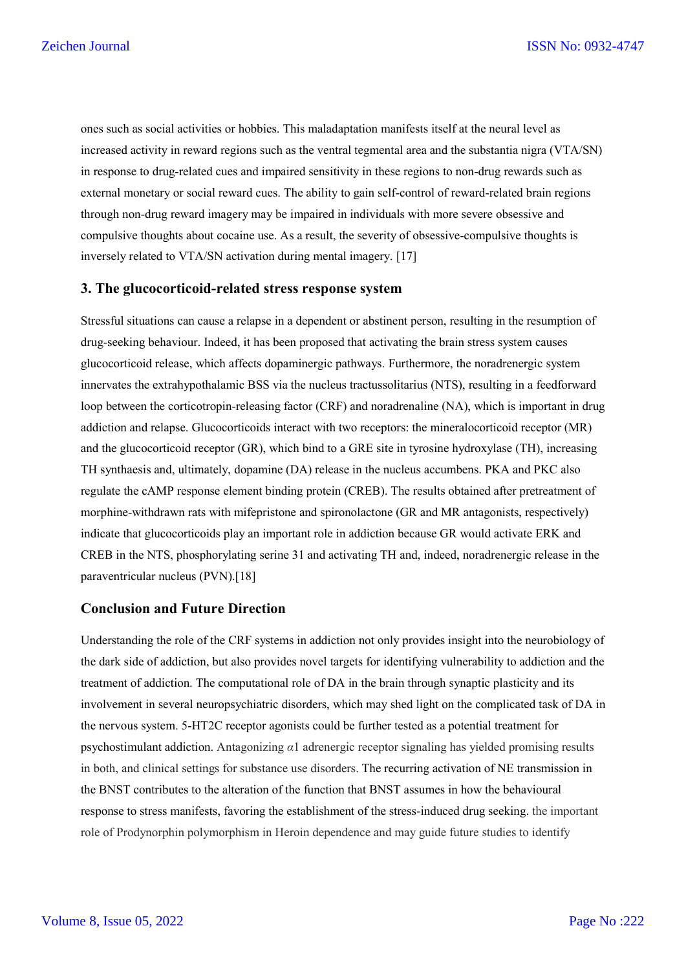ones such as social activities or hobbies. This maladaptation manifests itself at the neural level as increased activity in reward regions such as the ventral tegmental area and the substantia nigra (VTA/SN) in response to drug-related cues and impaired sensitivity in these regions to non-drug rewards such as external monetary or social reward cues. The ability to gain self-control of reward-related brain regions through non-drug reward imagery may be impaired in individuals with more severe obsessive and compulsive thoughts about cocaine use. As a result, the severity of obsessive-compulsive thoughts is inversely related to VTA/SN activation during mental imagery. [17]

#### **3. The glucocorticoid-related stress response system**

Stressful situations can cause a relapse in a dependent or abstinent person, resulting in the resumption of drug-seeking behaviour. Indeed, it has been proposed that activating the brain stress system causes glucocorticoid release, which affects dopaminergic pathways. Furthermore, the noradrenergic system innervates the extrahypothalamic BSS via the nucleus tractussolitarius (NTS), resulting in a feedforward loop between the corticotropin-releasing factor (CRF) and noradrenaline (NA), which is important in drug addiction and relapse. Glucocorticoids interact with two receptors: the mineralocorticoid receptor (MR) and the glucocorticoid receptor (GR), which bind to a GRE site in tyrosine hydroxylase (TH), increasing TH synthaesis and, ultimately, dopamine (DA) release in the nucleus accumbens. PKA and PKC also regulate the cAMP response element binding protein (CREB). The results obtained after pretreatment of morphine-withdrawn rats with mifepristone and spironolactone (GR and MR antagonists, respectively) indicate that glucocorticoids play an important role in addiction because GR would activate ERK and CREB in the NTS, phosphorylating serine 31 and activating TH and, indeed, noradrenergic release in the paraventricular nucleus (PVN).[18]

#### **Conclusion and Future Direction**

Understanding the role of the CRF systems in addiction not only provides insight into the neurobiology of the dark side of addiction, but also provides novel targets for identifying vulnerability to addiction and the treatment of addiction. The computational role of DA in the brain through synaptic plasticity and its involvement in several neuropsychiatric disorders, which may shed light on the complicated task of DA in the nervous system. 5-HT2C receptor agonists could be further tested as a potential treatment for psychostimulant addiction. Antagonizing *α*1 adrenergic receptor signaling has yielded promising results in both, and clinical settings for substance use disorders. The recurring activation of NE transmission in the BNST contributes to the alteration of the function that BNST assumes in how the behavioural response to stress manifests, favoring the establishment of the stress-induced drug seeking. the important role of Prodynorphin polymorphism in Heroin dependence and may guide future studies to identify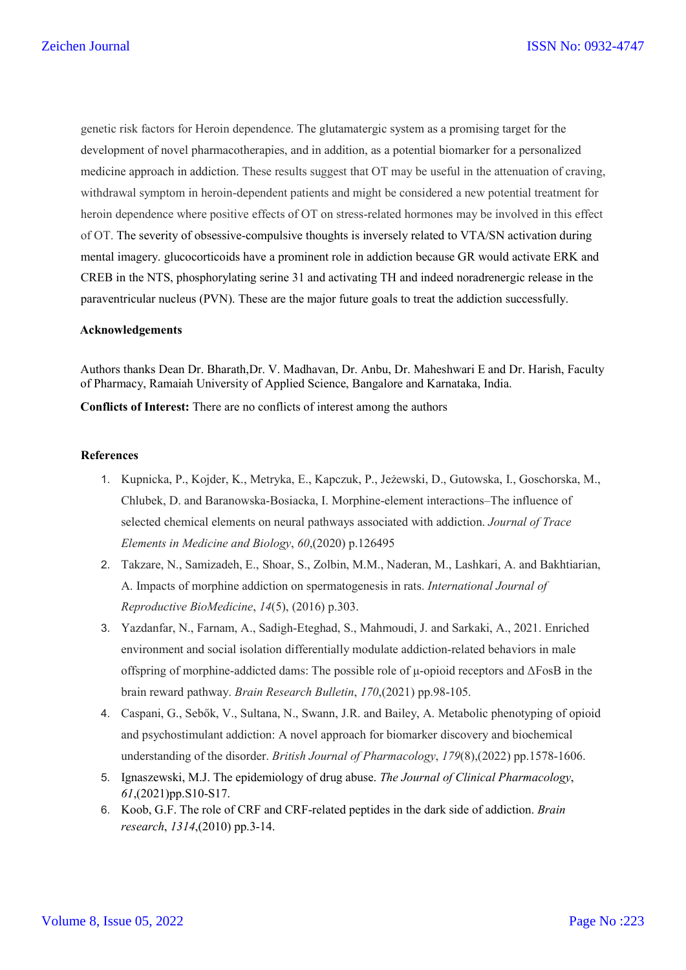genetic risk factors for Heroin dependence. The glutamatergic system as a promising target for the development of novel pharmacotherapies, and in addition, as a potential biomarker for a personalized medicine approach in addiction. These results suggest that OT may be useful in the attenuation of craving, withdrawal symptom in heroin-dependent patients and might be considered a new potential treatment for heroin dependence where positive effects of OT on stress-related hormones may be involved in this effect of OT. The severity of obsessive-compulsive thoughts is inversely related to VTA/SN activation during mental imagery. glucocorticoids have a prominent role in addiction because GR would activate ERK and CREB in the NTS, phosphorylating serine 31 and activating TH and indeed noradrenergic release in the paraventricular nucleus (PVN). These are the major future goals to treat the addiction successfully.

#### **Acknowledgements**

Authors thanks Dean Dr. Bharath,Dr. V. Madhavan, Dr. Anbu, Dr. Maheshwari E and Dr. Harish, Faculty of Pharmacy, Ramaiah University of Applied Science, Bangalore and Karnataka, India.

**Conflicts of Interest:** There are no conflicts of interest among the authors

#### **References**

- 1. Kupnicka, P., Kojder, K., Metryka, E., Kapczuk, P., Jeżewski, D., Gutowska, I., Goschorska, M., Chlubek, D. and Baranowska-Bosiacka, I. Morphine-element interactions–The influence of selected chemical elements on neural pathways associated with addiction. *Journal of Trace Elements in Medicine and Biology*, *60*,(2020) p.126495
- 2. Takzare, N., Samizadeh, E., Shoar, S., Zolbin, M.M., Naderan, M., Lashkari, A. and Bakhtiarian, A. Impacts of morphine addiction on spermatogenesis in rats. *International Journal of Reproductive BioMedicine*, *14*(5), (2016) p.303.
- 3. Yazdanfar, N., Farnam, A., Sadigh-Eteghad, S., Mahmoudi, J. and Sarkaki, A., 2021. Enriched environment and social isolation differentially modulate addiction-related behaviors in male offspring of morphine-addicted dams: The possible role of μ-opioid receptors and ΔFosB in the brain reward pathway. *Brain Research Bulletin*, *170*,(2021) pp.98-105.
- 4. Caspani, G., Sebők, V., Sultana, N., Swann, J.R. and Bailey, A. Metabolic phenotyping of opioid and psychostimulant addiction: A novel approach for biomarker discovery and biochemical understanding of the disorder. *British Journal of Pharmacology*, *179*(8),(2022) pp.1578-1606.
- 5. Ignaszewski, M.J. The epidemiology of drug abuse. *The Journal of Clinical Pharmacology*, *61*,(2021)pp.S10-S17.
- 6. Koob, G.F. The role of CRF and CRF-related peptides in the dark side of addiction. *Brain research*, *1314*,(2010) pp.3-14.